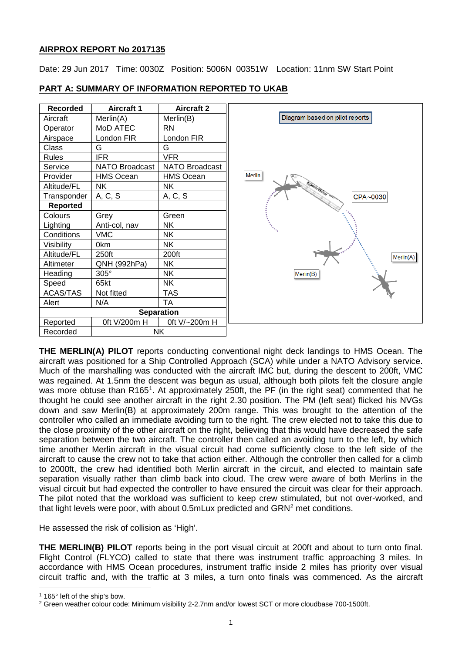## **AIRPROX REPORT No 2017135**

Date: 29 Jun 2017 Time: 0030Z Position: 5006N 00351W Location: 11nm SW Start Point

Diagram based on pilot reports

Merlin(B)

CPA~0030

Merlin(A)

| Recorded          | <b>Aircraft 1</b> | <b>Aircraft 2</b> |        |
|-------------------|-------------------|-------------------|--------|
| Aircraft          | Merlin(A)         | Merlin(B)         |        |
| Operator          | MoD ATEC          | RN                |        |
| Airspace          | London FIR        | London FIR        |        |
| Class             | G                 | G                 |        |
| Rules             | <b>IFR</b>        | <b>VFR</b>        |        |
| Service           | NATO Broadcast    | NATO Broadcast    |        |
| Provider          | <b>HMS Ocean</b>  | <b>HMS Ocean</b>  | Merlin |
| Altitude/FL       | NK.               | NΚ                |        |
| Transponder       | A, C, S           | A, C, S           |        |
| <b>Reported</b>   |                   |                   |        |
| Colours           | Grey              | Green             |        |
| Lighting          | Anti-col, nav     | NΚ                |        |
| Conditions        | <b>VMC</b>        | NΚ.               |        |
| Visibility        | 0km               | <b>NK</b>         |        |
| Altitude/FL       | 250ft             | 200ft             |        |
| Altimeter         | QNH (992hPa)      | NΚ.               |        |
| Heading           | 305°              | <b>NK</b>         |        |
| Speed             | 65kt              | NK                |        |
| <b>ACAS/TAS</b>   | Not fitted        | TAS               |        |
| Alert             | N/A               | <b>TA</b>         |        |
| <b>Separation</b> |                   |                   |        |
| Reported          | 0ft V/200m H      | 0ft V/~200m H     |        |
| Recorded          | <b>NK</b>         |                   |        |

### **PART A: SUMMARY OF INFORMATION REPORTED TO UKAB**

**THE MERLIN(A) PILOT** reports conducting conventional night deck landings to HMS Ocean. The aircraft was positioned for a Ship Controlled Approach (SCA) while under a NATO Advisory service. Much of the marshalling was conducted with the aircraft IMC but, during the descent to 200ft, VMC was regained. At 1.5nm the descent was begun as usual, although both pilots felt the closure angle was more obtuse than R[1](#page-0-0)65<sup>1</sup>. At approximately 250ft, the PF (in the right seat) commented that he thought he could see another aircraft in the right 2.30 position. The PM (left seat) flicked his NVGs down and saw Merlin(B) at approximately 200m range. This was brought to the attention of the controller who called an immediate avoiding turn to the right. The crew elected not to take this due to the close proximity of the other aircraft on the right, believing that this would have decreased the safe separation between the two aircraft. The controller then called an avoiding turn to the left, by which time another Merlin aircraft in the visual circuit had come sufficiently close to the left side of the aircraft to cause the crew not to take that action either. Although the controller then called for a climb to 2000ft, the crew had identified both Merlin aircraft in the circuit, and elected to maintain safe separation visually rather than climb back into cloud. The crew were aware of both Merlins in the visual circuit but had expected the controller to have ensured the circuit was clear for their approach. The pilot noted that the workload was sufficient to keep crew stimulated, but not over-worked, and that light levels were poor, with about 0.5mLux predicted and GRN<sup>[2](#page-0-1)</sup> met conditions.

He assessed the risk of collision as 'High'.

**THE MERLIN(B) PILOT** reports being in the port visual circuit at 200ft and about to turn onto final. Flight Control (FLYCO) called to state that there was instrument traffic approaching 3 miles. In accordance with HMS Ocean procedures, instrument traffic inside 2 miles has priority over visual circuit traffic and, with the traffic at 3 miles, a turn onto finals was commenced. As the aircraft

l

<span id="page-0-0"></span><sup>1</sup> 165° left of the ship's bow.

<span id="page-0-1"></span><sup>2</sup> Green weather colour code: Minimum visibility 2-2.7nm and/or lowest SCT or more cloudbase 700-1500ft.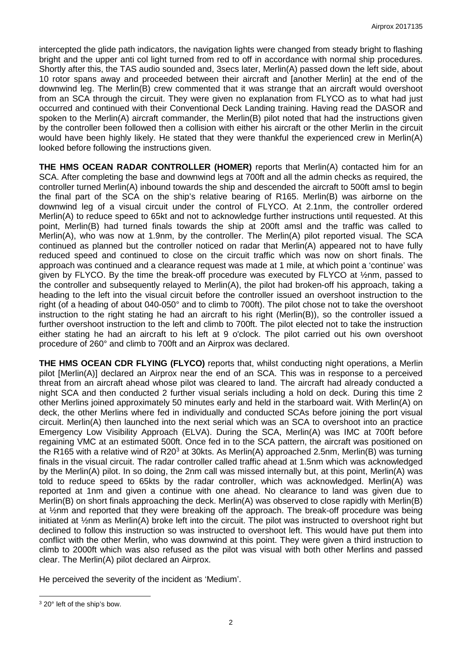intercepted the glide path indicators, the navigation lights were changed from steady bright to flashing bright and the upper anti col light turned from red to off in accordance with normal ship procedures. Shortly after this, the TAS audio sounded and, 3secs later, Merlin(A) passed down the left side, about 10 rotor spans away and proceeded between their aircraft and [another Merlin] at the end of the downwind leg. The Merlin(B) crew commented that it was strange that an aircraft would overshoot from an SCA through the circuit. They were given no explanation from FLYCO as to what had just occurred and continued with their Conventional Deck Landing training. Having read the DASOR and spoken to the Merlin(A) aircraft commander, the Merlin(B) pilot noted that had the instructions given by the controller been followed then a collision with either his aircraft or the other Merlin in the circuit would have been highly likely. He stated that they were thankful the experienced crew in Merlin(A) looked before following the instructions given.

**THE HMS OCEAN RADAR CONTROLLER (HOMER)** reports that Merlin(A) contacted him for an SCA. After completing the base and downwind legs at 700ft and all the admin checks as required, the controller turned Merlin(A) inbound towards the ship and descended the aircraft to 500ft amsl to begin the final part of the SCA on the ship's relative bearing of R165. Merlin(B) was airborne on the downwind leg of a visual circuit under the control of FLYCO. At 2.1nm, the controller ordered Merlin(A) to reduce speed to 65kt and not to acknowledge further instructions until requested. At this point, Merlin(B) had turned finals towards the ship at 200ft amsl and the traffic was called to Merlin(A), who was now at 1.9nm, by the controller. The Merlin(A) pilot reported visual. The SCA continued as planned but the controller noticed on radar that Merlin(A) appeared not to have fully reduced speed and continued to close on the circuit traffic which was now on short finals. The approach was continued and a clearance request was made at 1 mile, at which point a 'continue' was given by FLYCO. By the time the break-off procedure was executed by FLYCO at ½nm, passed to the controller and subsequently relayed to Merlin(A), the pilot had broken-off his approach, taking a heading to the left into the visual circuit before the controller issued an overshoot instruction to the right (of a heading of about 040-050° and to climb to 700ft). The pilot chose not to take the overshoot instruction to the right stating he had an aircraft to his right (Merlin(B)), so the controller issued a further overshoot instruction to the left and climb to 700ft. The pilot elected not to take the instruction either stating he had an aircraft to his left at 9 o'clock. The pilot carried out his own overshoot procedure of 260° and climb to 700ft and an Airprox was declared.

**THE HMS OCEAN CDR FLYING (FLYCO)** reports that, whilst conducting night operations, a Merlin pilot [Merlin(A)] declared an Airprox near the end of an SCA. This was in response to a perceived threat from an aircraft ahead whose pilot was cleared to land. The aircraft had already conducted a night SCA and then conducted 2 further visual serials including a hold on deck. During this time 2 other Merlins joined approximately 50 minutes early and held in the starboard wait. With Merlin(A) on deck, the other Merlins where fed in individually and conducted SCAs before joining the port visual circuit. Merlin(A) then launched into the next serial which was an SCA to overshoot into an practice Emergency Low Visibility Approach (ELVA). During the SCA, Merlin(A) was IMC at 700ft before regaining VMC at an estimated 500ft. Once fed in to the SCA pattern, the aircraft was positioned on the R165 with a relative wind of R20<sup>3</sup> at 30kts. As Merlin(A) approached 2.5nm, Merlin(B) was turning finals in the visual circuit. The radar controller called traffic ahead at 1.5nm which was acknowledged by the Merlin(A) pilot. In so doing, the 2nm call was missed internally but, at this point, Merlin(A) was told to reduce speed to 65kts by the radar controller, which was acknowledged. Merlin(A) was reported at 1nm and given a continue with one ahead. No clearance to land was given due to Merlin(B) on short finals approaching the deck. Merlin(A) was observed to close rapidly with Merlin(B) at ½nm and reported that they were breaking off the approach. The break-off procedure was being initiated at ½nm as Merlin(A) broke left into the circuit. The pilot was instructed to overshoot right but declined to follow this instruction so was instructed to overshoot left. This would have put them into conflict with the other Merlin, who was downwind at this point. They were given a third instruction to climb to 2000ft which was also refused as the pilot was visual with both other Merlins and passed clear. The Merlin(A) pilot declared an Airprox.

He perceived the severity of the incident as 'Medium'.

<span id="page-1-0"></span> $\overline{\phantom{a}}$ <sup>3</sup> 20° left of the ship's bow.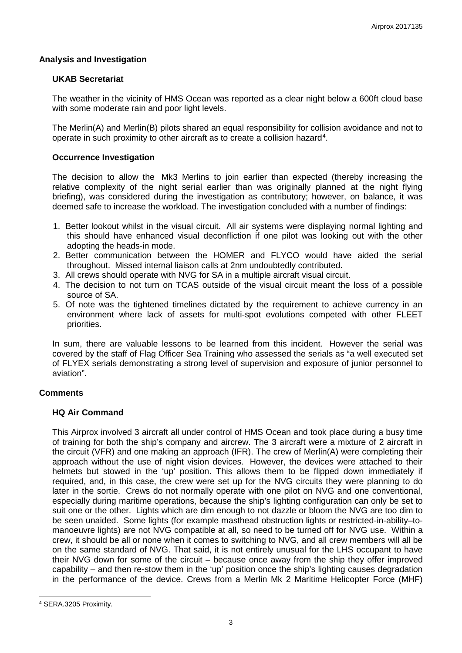## **Analysis and Investigation**

### **UKAB Secretariat**

The weather in the vicinity of HMS Ocean was reported as a clear night below a 600ft cloud base with some moderate rain and poor light levels.

The Merlin(A) and Merlin(B) pilots shared an equal responsibility for collision avoidance and not to operate in such proximity to other aircraft as to create a collision hazard<sup>[4](#page-2-0)</sup>.

### **Occurrence Investigation**

The decision to allow the Mk3 Merlins to join earlier than expected (thereby increasing the relative complexity of the night serial earlier than was originally planned at the night flying briefing), was considered during the investigation as contributory; however, on balance, it was deemed safe to increase the workload. The investigation concluded with a number of findings:

- 1. Better lookout whilst in the visual circuit. All air systems were displaying normal lighting and this should have enhanced visual deconfliction if one pilot was looking out with the other adopting the heads-in mode.
- 2. Better communication between the HOMER and FLYCO would have aided the serial throughout. Missed internal liaison calls at 2nm undoubtedly contributed.
- 3. All crews should operate with NVG for SA in a multiple aircraft visual circuit.
- 4. The decision to not turn on TCAS outside of the visual circuit meant the loss of a possible source of SA.
- 5. Of note was the tightened timelines dictated by the requirement to achieve currency in an environment where lack of assets for multi-spot evolutions competed with other FLEET priorities.

In sum, there are valuable lessons to be learned from this incident. However the serial was covered by the staff of Flag Officer Sea Training who assessed the serials as "a well executed set of FLYEX serials demonstrating a strong level of supervision and exposure of junior personnel to aviation".

## **Comments**

### **HQ Air Command**

This Airprox involved 3 aircraft all under control of HMS Ocean and took place during a busy time of training for both the ship's company and aircrew. The 3 aircraft were a mixture of 2 aircraft in the circuit (VFR) and one making an approach (IFR). The crew of Merlin(A) were completing their approach without the use of night vision devices. However, the devices were attached to their helmets but stowed in the 'up' position. This allows them to be flipped down immediately if required, and, in this case, the crew were set up for the NVG circuits they were planning to do later in the sortie. Crews do not normally operate with one pilot on NVG and one conventional, especially during maritime operations, because the ship's lighting configuration can only be set to suit one or the other. Lights which are dim enough to not dazzle or bloom the NVG are too dim to be seen unaided. Some lights (for example masthead obstruction lights or restricted-in-ability–tomanoeuvre lights) are not NVG compatible at all, so need to be turned off for NVG use. Within a crew, it should be all or none when it comes to switching to NVG, and all crew members will all be on the same standard of NVG. That said, it is not entirely unusual for the LHS occupant to have their NVG down for some of the circuit – because once away from the ship they offer improved capability – and then re-stow them in the 'up' position once the ship's lighting causes degradation in the performance of the device. Crews from a Merlin Mk 2 Maritime Helicopter Force (MHF)

 $\overline{\phantom{a}}$ 

<span id="page-2-0"></span><sup>4</sup> SERA.3205 Proximity.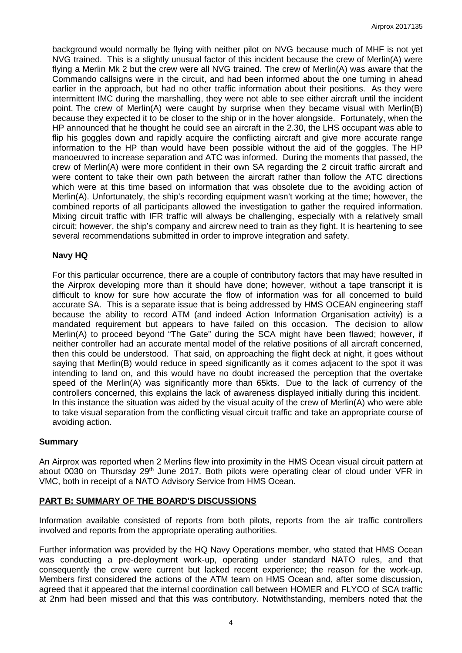background would normally be flying with neither pilot on NVG because much of MHF is not yet NVG trained. This is a slightly unusual factor of this incident because the crew of Merlin(A) were flying a Merlin Mk 2 but the crew were all NVG trained. The crew of Merlin(A) was aware that the Commando callsigns were in the circuit, and had been informed about the one turning in ahead earlier in the approach, but had no other traffic information about their positions. As they were intermittent IMC during the marshalling, they were not able to see either aircraft until the incident point. The crew of Merlin(A) were caught by surprise when they became visual with Merlin(B) because they expected it to be closer to the ship or in the hover alongside. Fortunately, when the HP announced that he thought he could see an aircraft in the 2.30, the LHS occupant was able to flip his goggles down and rapidly acquire the conflicting aircraft and give more accurate range information to the HP than would have been possible without the aid of the goggles. The HP manoeuvred to increase separation and ATC was informed. During the moments that passed, the crew of Merlin(A) were more confident in their own SA regarding the 2 circuit traffic aircraft and were content to take their own path between the aircraft rather than follow the ATC directions which were at this time based on information that was obsolete due to the avoiding action of Merlin(A). Unfortunately, the ship's recording equipment wasn't working at the time; however, the combined reports of all participants allowed the investigation to gather the required information. Mixing circuit traffic with IFR traffic will always be challenging, especially with a relatively small circuit; however, the ship's company and aircrew need to train as they fight. It is heartening to see several recommendations submitted in order to improve integration and safety.

# **Navy HQ**

For this particular occurrence, there are a couple of contributory factors that may have resulted in the Airprox developing more than it should have done; however, without a tape transcript it is difficult to know for sure how accurate the flow of information was for all concerned to build accurate SA. This is a separate issue that is being addressed by HMS OCEAN engineering staff because the ability to record ATM (and indeed Action Information Organisation activity) is a mandated requirement but appears to have failed on this occasion. The decision to allow Merlin(A) to proceed beyond "The Gate" during the SCA might have been flawed; however, if neither controller had an accurate mental model of the relative positions of all aircraft concerned, then this could be understood. That said, on approaching the flight deck at night, it goes without saying that Merlin(B) would reduce in speed significantly as it comes adjacent to the spot it was intending to land on, and this would have no doubt increased the perception that the overtake speed of the Merlin(A) was significantly more than 65kts. Due to the lack of currency of the controllers concerned, this explains the lack of awareness displayed initially during this incident. In this instance the situation was aided by the visual acuity of the crew of Merlin(A) who were able to take visual separation from the conflicting visual circuit traffic and take an appropriate course of avoiding action.

## **Summary**

An Airprox was reported when 2 Merlins flew into proximity in the HMS Ocean visual circuit pattern at about 0030 on Thursday 29<sup>th</sup> June 2017. Both pilots were operating clear of cloud under VFR in VMC, both in receipt of a NATO Advisory Service from HMS Ocean.

## **PART B: SUMMARY OF THE BOARD'S DISCUSSIONS**

Information available consisted of reports from both pilots, reports from the air traffic controllers involved and reports from the appropriate operating authorities.

Further information was provided by the HQ Navy Operations member, who stated that HMS Ocean was conducting a pre-deployment work-up, operating under standard NATO rules, and that consequently the crew were current but lacked recent experience; the reason for the work-up. Members first considered the actions of the ATM team on HMS Ocean and, after some discussion, agreed that it appeared that the internal coordination call between HOMER and FLYCO of SCA traffic at 2nm had been missed and that this was contributory. Notwithstanding, members noted that the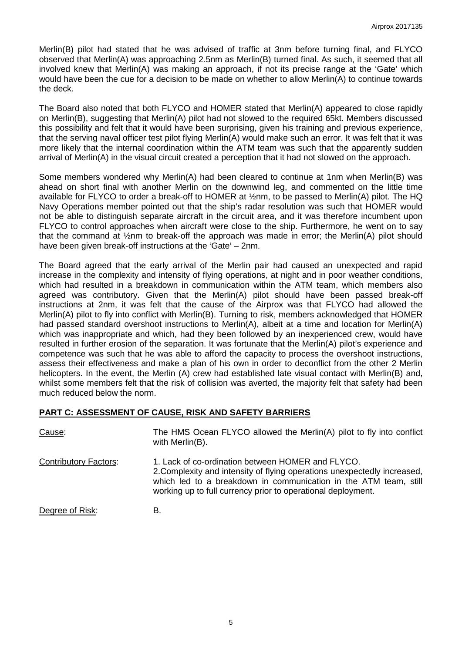Merlin(B) pilot had stated that he was advised of traffic at 3nm before turning final, and FLYCO observed that Merlin(A) was approaching 2.5nm as Merlin(B) turned final. As such, it seemed that all involved knew that Merlin(A) was making an approach, if not its precise range at the 'Gate' which would have been the cue for a decision to be made on whether to allow Merlin(A) to continue towards the deck.

The Board also noted that both FLYCO and HOMER stated that Merlin(A) appeared to close rapidly on Merlin(B), suggesting that Merlin(A) pilot had not slowed to the required 65kt. Members discussed this possibility and felt that it would have been surprising, given his training and previous experience, that the serving naval officer test pilot flying Merlin(A) would make such an error. It was felt that it was more likely that the internal coordination within the ATM team was such that the apparently sudden arrival of Merlin(A) in the visual circuit created a perception that it had not slowed on the approach.

Some members wondered why Merlin(A) had been cleared to continue at 1nm when Merlin(B) was ahead on short final with another Merlin on the downwind leg, and commented on the little time available for FLYCO to order a break-off to HOMER at ½nm, to be passed to Merlin(A) pilot. The HQ Navy Operations member pointed out that the ship's radar resolution was such that HOMER would not be able to distinguish separate aircraft in the circuit area, and it was therefore incumbent upon FLYCO to control approaches when aircraft were close to the ship. Furthermore, he went on to say that the command at ½nm to break-off the approach was made in error; the Merlin(A) pilot should have been given break-off instructions at the 'Gate' – 2nm.

The Board agreed that the early arrival of the Merlin pair had caused an unexpected and rapid increase in the complexity and intensity of flying operations, at night and in poor weather conditions, which had resulted in a breakdown in communication within the ATM team, which members also agreed was contributory. Given that the Merlin(A) pilot should have been passed break-off instructions at 2nm, it was felt that the cause of the Airprox was that FLYCO had allowed the Merlin(A) pilot to fly into conflict with Merlin(B). Turning to risk, members acknowledged that HOMER had passed standard overshoot instructions to Merlin(A), albeit at a time and location for Merlin(A) which was inappropriate and which, had they been followed by an inexperienced crew, would have resulted in further erosion of the separation. It was fortunate that the Merlin(A) pilot's experience and competence was such that he was able to afford the capacity to process the overshoot instructions, assess their effectiveness and make a plan of his own in order to deconflict from the other 2 Merlin helicopters. In the event, the Merlin (A) crew had established late visual contact with Merlin(B) and, whilst some members felt that the risk of collision was averted, the majority felt that safety had been much reduced below the norm.

# **PART C: ASSESSMENT OF CAUSE, RISK AND SAFETY BARRIERS**

| Cause:                       | The HMS Ocean FLYCO allowed the Merlin(A) pilot to fly into conflict<br>with Merlin(B).                                                                                                                                                                           |  |
|------------------------------|-------------------------------------------------------------------------------------------------------------------------------------------------------------------------------------------------------------------------------------------------------------------|--|
| <b>Contributory Factors:</b> | 1. Lack of co-ordination between HOMER and FLYCO.<br>2. Complexity and intensity of flying operations unexpectedly increased,<br>which led to a breakdown in communication in the ATM team, still<br>working up to full currency prior to operational deployment. |  |
| Degree of Risk:              | в                                                                                                                                                                                                                                                                 |  |